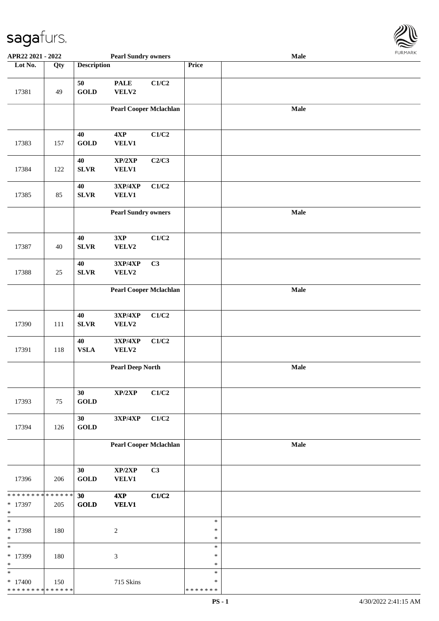

| APR22 2021 - 2022                                 |         |                    | <b>Pearl Sundry owners</b>        |       |                                   | <b>Male</b> |  |
|---------------------------------------------------|---------|--------------------|-----------------------------------|-------|-----------------------------------|-------------|--|
| Lot No.                                           | Qty     | <b>Description</b> |                                   |       | Price                             |             |  |
| 17381                                             | 49      | 50<br><b>GOLD</b>  | <b>PALE</b><br>VELV2              | C1/C2 |                                   |             |  |
|                                                   |         |                    |                                   |       |                                   |             |  |
|                                                   |         |                    | <b>Pearl Cooper Mclachlan</b>     |       |                                   | Male        |  |
| 17383                                             | 157     | 40<br><b>GOLD</b>  | 4XP<br>VELV1                      | C1/C2 |                                   |             |  |
| 17384                                             | 122     | 40<br>${\bf SLVR}$ | XP/2XP<br>VELV1                   | C2/C3 |                                   |             |  |
| 17385                                             | 85      | 40<br>${\bf SLVR}$ | 3XP/4XP<br><b>VELV1</b>           | C1/C2 |                                   |             |  |
|                                                   |         |                    | <b>Pearl Sundry owners</b>        |       |                                   | Male        |  |
| 17387                                             | 40      | 40<br>SLVR         | 3XP<br>VELV2                      | C1/C2 |                                   |             |  |
| 17388                                             | 25      | 40<br>SLVR         | 3XP/4XP<br>VELV2                  | C3    |                                   |             |  |
|                                                   |         |                    | <b>Pearl Cooper Mclachlan</b>     |       |                                   | Male        |  |
| 17390                                             | $111\,$ | 40<br>${\bf SLVR}$ | 3XP/4XP<br>VELV2                  | C1/C2 |                                   |             |  |
| 17391                                             | 118     | 40<br>${\bf VSLA}$ | 3XP/4XP<br>VELV2                  | C1/C2 |                                   |             |  |
|                                                   |         |                    | <b>Pearl Deep North</b>           |       |                                   | Male        |  |
| 17393                                             | 75      | 30<br><b>GOLD</b>  | XP/2XP                            | C1/C2 |                                   |             |  |
| 17394                                             | 126     | 30<br><b>GOLD</b>  | $3{\bf X}{\bf P}/4{\bf X}{\bf P}$ | C1/C2 |                                   |             |  |
|                                                   |         |                    | <b>Pearl Cooper Mclachlan</b>     |       |                                   | Male        |  |
| 17396                                             | 206     | 30<br><b>GOLD</b>  | XP/2XP<br>VELV1                   | C3    |                                   |             |  |
| * * * * * * * * * * * * * * *                     |         | 30                 | 4XP                               | C1/C2 |                                   |             |  |
| * 17397<br>$\ast$                                 | 205     | <b>GOLD</b>        | <b>VELV1</b>                      |       |                                   |             |  |
| $*$                                               |         |                    |                                   |       | $\ast$                            |             |  |
| * 17398<br>$\ast$                                 | 180     |                    | $\boldsymbol{2}$                  |       | $\ast$<br>$\ast$                  |             |  |
| $\overline{\ast}$<br>* 17399<br>$\ast$            | 180     |                    | 3                                 |       | $\ast$<br>$\ast$<br>$\ast$        |             |  |
| $\ast$<br>$*17400$<br>* * * * * * * * * * * * * * | 150     |                    | 715 Skins                         |       | $\ast$<br>$\ast$<br>* * * * * * * |             |  |
|                                                   |         |                    |                                   |       |                                   |             |  |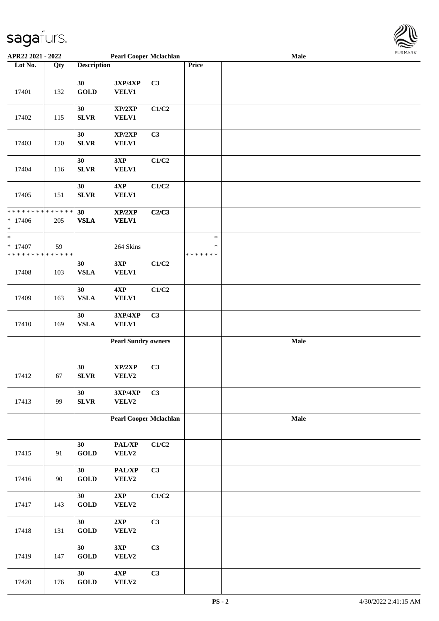

| APR22 2021 - 2022                                                 |                    |                             | <b>Pearl Cooper Mclachlan</b>       |       |                                   | Male |  |
|-------------------------------------------------------------------|--------------------|-----------------------------|-------------------------------------|-------|-----------------------------------|------|--|
| Lot No.                                                           | Qty                | <b>Description</b>          |                                     |       | Price                             |      |  |
| 17401                                                             | 132                | 30<br><b>GOLD</b>           | 3XP/4XP<br>VELV1                    | C3    |                                   |      |  |
| 17402                                                             | 115                | 30<br><b>SLVR</b>           | XP/2XP<br><b>VELV1</b>              | C1/C2 |                                   |      |  |
| 17403                                                             | 120                | 30<br><b>SLVR</b>           | XP/2XP<br><b>VELV1</b>              | C3    |                                   |      |  |
| 17404                                                             | 116                | 30<br><b>SLVR</b>           | 3XP<br><b>VELV1</b>                 | C1/C2 |                                   |      |  |
| 17405                                                             | 151                | 30<br><b>SLVR</b>           | 4XP<br><b>VELV1</b>                 | C1/C2 |                                   |      |  |
| * * * * * * * *<br>$* 17406$<br>$\ast$                            | * * * * * *<br>205 | 30<br><b>VSLA</b>           | XP/2XP<br><b>VELV1</b>              | C2/C3 |                                   |      |  |
| $\ast$<br>$* 17407$<br>* * * * * * * * <mark>* * * * * * *</mark> | 59                 |                             | 264 Skins                           |       | $\ast$<br>$\ast$<br>* * * * * * * |      |  |
| 17408                                                             | 103                | 30<br><b>VSLA</b>           | 3XP<br><b>VELV1</b>                 | C1/C2 |                                   |      |  |
| 17409                                                             | 163                | 30<br><b>VSLA</b>           | 4XP<br>VELV1                        | C1/C2 |                                   |      |  |
| 17410                                                             | 169                | 30<br><b>VSLA</b>           | 3XP/4XP<br>VELV1                    | C3    |                                   |      |  |
|                                                                   |                    |                             | <b>Pearl Sundry owners</b>          |       |                                   | Male |  |
| 17412                                                             | 67                 | 30<br><b>SLVR</b>           | $\mathbf{XP}/2\mathbf{XP}$<br>VELV2 | C3    |                                   |      |  |
| 17413                                                             | 99                 | 30<br><b>SLVR</b>           | 3XP/4XP<br>VELV2                    | C3    |                                   |      |  |
|                                                                   |                    |                             | <b>Pearl Cooper Mclachlan</b>       |       |                                   | Male |  |
| 17415                                                             | 91                 | 30<br>$\operatorname{GOLD}$ | PAL/XP<br>VELV2                     | C1/C2 |                                   |      |  |
| 17416                                                             | 90                 | 30<br>$\operatorname{GOLD}$ | PAL/XP<br>VELV2                     | C3    |                                   |      |  |
| 17417                                                             | 143                | 30<br>$\operatorname{GOLD}$ | $2{\bf XP}$<br>VELV2                | C1/C2 |                                   |      |  |
| 17418                                                             | 131                | 30<br><b>GOLD</b>           | 2XP<br>VELV2                        | C3    |                                   |      |  |
| 17419                                                             | 147                | 30<br><b>GOLD</b>           | 3XP<br>VELV2                        | C3    |                                   |      |  |
| 17420                                                             | 176                | 30<br>$\operatorname{GOLD}$ | 4XP<br>VELV2                        | C3    |                                   |      |  |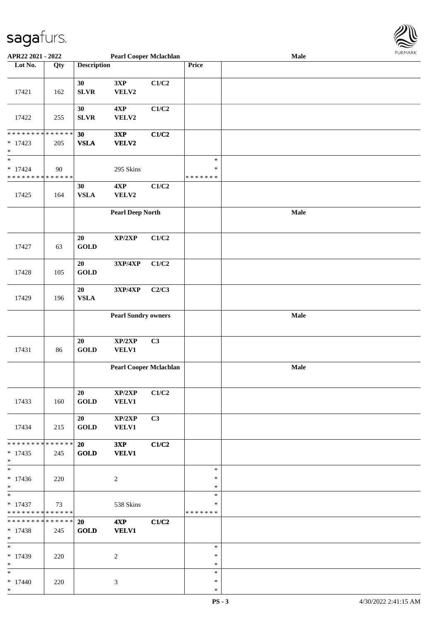

| APR22 2021 - 2022                          |             |                    | <b>Pearl Cooper Mclachlan</b> |       |               | Male |  |
|--------------------------------------------|-------------|--------------------|-------------------------------|-------|---------------|------|--|
| Lot No.                                    | Qty         | <b>Description</b> |                               |       | Price         |      |  |
|                                            |             |                    |                               |       |               |      |  |
|                                            |             |                    |                               |       |               |      |  |
|                                            |             | 30                 | 3XP                           | C1/C2 |               |      |  |
| 17421                                      | 162         | <b>SLVR</b>        | VELV2                         |       |               |      |  |
|                                            |             |                    |                               |       |               |      |  |
|                                            |             | 30                 | 4XP                           | C1/C2 |               |      |  |
|                                            |             |                    |                               |       |               |      |  |
| 17422                                      | 255         | <b>SLVR</b>        | VELV2                         |       |               |      |  |
|                                            |             |                    |                               |       |               |      |  |
| * * * * * * * * * * * * * *                |             | 30                 | 3XP                           | C1/C2 |               |      |  |
| $*17423$                                   | 205         | <b>VSLA</b>        | VELV2                         |       |               |      |  |
| $\ast$                                     |             |                    |                               |       |               |      |  |
|                                            |             |                    |                               |       |               |      |  |
| $\ast$                                     |             |                    |                               |       | $\ast$        |      |  |
| $* 17424$                                  | 90          |                    | 295 Skins                     |       | $\ast$        |      |  |
| * * * * * * * * * * * * * *                |             |                    |                               |       | * * * * * * * |      |  |
|                                            |             | 30                 | 4XP                           | C1/C2 |               |      |  |
|                                            |             |                    |                               |       |               |      |  |
| 17425                                      | 164         | <b>VSLA</b>        | VELV2                         |       |               |      |  |
|                                            |             |                    |                               |       |               |      |  |
|                                            |             |                    | <b>Pearl Deep North</b>       |       |               | Male |  |
|                                            |             |                    |                               |       |               |      |  |
|                                            |             |                    |                               |       |               |      |  |
|                                            |             |                    |                               |       |               |      |  |
|                                            |             | $20\,$             | XP/2XP                        | C1/C2 |               |      |  |
| 17427                                      | 63          | <b>GOLD</b>        |                               |       |               |      |  |
|                                            |             |                    |                               |       |               |      |  |
|                                            |             | 20                 | 3XP/4XP                       | C1/C2 |               |      |  |
|                                            |             |                    |                               |       |               |      |  |
| 17428                                      | 105         | <b>GOLD</b>        |                               |       |               |      |  |
|                                            |             |                    |                               |       |               |      |  |
|                                            |             | 20                 | 3XP/4XP                       | C2/C3 |               |      |  |
| 17429                                      | 196         | <b>VSLA</b>        |                               |       |               |      |  |
|                                            |             |                    |                               |       |               |      |  |
|                                            |             |                    |                               |       |               |      |  |
|                                            |             |                    | <b>Pearl Sundry owners</b>    |       |               | Male |  |
|                                            |             |                    |                               |       |               |      |  |
|                                            |             |                    |                               |       |               |      |  |
|                                            |             |                    |                               |       |               |      |  |
|                                            |             | 20                 | XP/2XP                        | C3    |               |      |  |
| 17431                                      | 86          | <b>GOLD</b>        | <b>VELV1</b>                  |       |               |      |  |
|                                            |             |                    |                               |       |               |      |  |
|                                            |             |                    | <b>Pearl Cooper Mclachlan</b> |       |               | Male |  |
|                                            |             |                    |                               |       |               |      |  |
|                                            |             |                    |                               |       |               |      |  |
|                                            |             |                    |                               |       |               |      |  |
|                                            |             | 20                 | XP/2XP                        | C1/C2 |               |      |  |
| 17433                                      | 160         | <b>GOLD</b>        | <b>VELV1</b>                  |       |               |      |  |
|                                            |             |                    |                               |       |               |      |  |
|                                            |             |                    |                               |       |               |      |  |
|                                            |             | 20                 | $\mathbf{XP}/2\mathbf{XP}$    | C3    |               |      |  |
| 17434                                      | 215         | <b>GOLD</b>        | <b>VELV1</b>                  |       |               |      |  |
|                                            |             |                    |                               |       |               |      |  |
| * * * * * * * *                            | * * * * * * | 20                 | 3XP                           | C1/C2 |               |      |  |
| $*17435$                                   | 245         | <b>GOLD</b>        | <b>VELV1</b>                  |       |               |      |  |
| $*$                                        |             |                    |                               |       |               |      |  |
|                                            |             |                    |                               |       |               |      |  |
|                                            |             |                    |                               |       | $\ast$        |      |  |
| $* 17436$                                  | 220         |                    | 2                             |       | $\ast$        |      |  |
| $*$                                        |             |                    |                               |       | $\ast$        |      |  |
| $*$                                        |             |                    |                               |       | $\ast$        |      |  |
|                                            |             |                    |                               |       |               |      |  |
| $* 17437$                                  | 73          |                    | 538 Skins                     |       | $\ast$        |      |  |
| * * * * * * * * * * * * * *                |             |                    |                               |       | *******       |      |  |
| * * * * * * * * * * * * * * <mark>*</mark> |             | <b>20</b>          | 4XP                           | C1/C2 |               |      |  |
| $* 17438$                                  | 245         | <b>GOLD</b>        | <b>VELV1</b>                  |       |               |      |  |
| $*$                                        |             |                    |                               |       |               |      |  |
| $*$ $-$                                    |             |                    |                               |       | $\ast$        |      |  |
|                                            |             |                    |                               |       |               |      |  |
| * 17439                                    | 220         |                    | 2                             |       | $\ast$        |      |  |
| $*$                                        |             |                    |                               |       | $\ast$        |      |  |
| $*$                                        |             |                    |                               |       | $\ast$        |      |  |
|                                            |             |                    |                               |       | ∗             |      |  |
| $* 17440$                                  | 220         |                    | 3                             |       |               |      |  |
| $*$                                        |             |                    |                               |       | $\ast$        |      |  |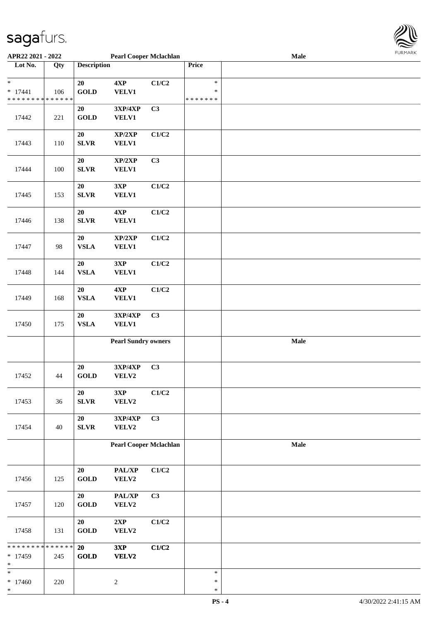

| APR22 2021 - 2022                        |     |                                | <b>Pearl Cooper Mclachlan</b>     |                |               | <b>Male</b> |  |
|------------------------------------------|-----|--------------------------------|-----------------------------------|----------------|---------------|-------------|--|
| Lot No.                                  | Qty | <b>Description</b>             |                                   |                | Price         |             |  |
|                                          |     |                                |                                   |                |               |             |  |
| $\ast$                                   |     | 20                             | 4XP                               | C1/C2          | $\ast$        |             |  |
| $* 17441$                                | 106 | <b>GOLD</b>                    | <b>VELV1</b>                      |                | $\ast$        |             |  |
| * * * * * * * * * * * * * *              |     |                                |                                   |                | * * * * * * * |             |  |
|                                          |     | 20                             | 3XP/4XP                           | C <sub>3</sub> |               |             |  |
| 17442                                    | 221 | <b>GOLD</b>                    | <b>VELV1</b>                      |                |               |             |  |
|                                          |     |                                |                                   |                |               |             |  |
|                                          |     | 20                             | XP/2XP                            | C1/C2          |               |             |  |
| 17443                                    | 110 | <b>SLVR</b>                    | <b>VELV1</b>                      |                |               |             |  |
|                                          |     |                                |                                   |                |               |             |  |
|                                          |     |                                |                                   |                |               |             |  |
|                                          |     | 20                             | XP/2XP                            | C3             |               |             |  |
| 17444                                    | 100 | SLVR                           | <b>VELV1</b>                      |                |               |             |  |
|                                          |     |                                |                                   |                |               |             |  |
|                                          |     | 20                             | 3XP                               | C1/C2          |               |             |  |
| 17445                                    | 153 | SLVR                           | VELV1                             |                |               |             |  |
|                                          |     |                                |                                   |                |               |             |  |
|                                          |     | 20                             | 4XP                               | C1/C2          |               |             |  |
| 17446                                    | 138 | <b>SLVR</b>                    | <b>VELV1</b>                      |                |               |             |  |
|                                          |     |                                |                                   |                |               |             |  |
|                                          |     | $20\,$                         | XP/2XP                            | C1/C2          |               |             |  |
| 17447                                    | 98  | ${\bf VSLA}$                   | <b>VELV1</b>                      |                |               |             |  |
|                                          |     |                                |                                   |                |               |             |  |
|                                          |     | 20                             | 3XP                               | C1/C2          |               |             |  |
| 17448                                    | 144 | ${\bf VSLA}$                   | <b>VELV1</b>                      |                |               |             |  |
|                                          |     |                                |                                   |                |               |             |  |
|                                          |     | 20                             | 4XP                               | C1/C2          |               |             |  |
| 17449                                    | 168 | ${\bf VSLA}$                   | <b>VELV1</b>                      |                |               |             |  |
|                                          |     |                                |                                   |                |               |             |  |
|                                          |     | ${\bf 20}$                     | 3XP/4XP                           | C3             |               |             |  |
| 17450                                    | 175 | ${\bf VSLA}$                   | <b>VELV1</b>                      |                |               |             |  |
|                                          |     |                                |                                   |                |               |             |  |
|                                          |     |                                | <b>Pearl Sundry owners</b>        |                |               | Male        |  |
|                                          |     |                                |                                   |                |               |             |  |
|                                          |     |                                |                                   |                |               |             |  |
|                                          |     | 20                             | $3{\bf X}{\bf P}/4{\bf X}{\bf P}$ | C <sub>3</sub> |               |             |  |
| 17452                                    | 44  | $\operatorname{\mathbf{GOLD}}$ | VELV2                             |                |               |             |  |
|                                          |     |                                |                                   |                |               |             |  |
|                                          |     | $20\,$                         | 3XP                               | C1/C2          |               |             |  |
| 17453                                    | 36  | SLVR                           | VELV2                             |                |               |             |  |
|                                          |     |                                |                                   |                |               |             |  |
|                                          |     | 20                             | 3XP/4XP                           | C3             |               |             |  |
| 17454                                    | 40  | SLVR                           | VELV2                             |                |               |             |  |
|                                          |     |                                |                                   |                |               |             |  |
|                                          |     |                                | <b>Pearl Cooper Mclachlan</b>     |                |               | Male        |  |
|                                          |     |                                |                                   |                |               |             |  |
|                                          |     |                                |                                   |                |               |             |  |
|                                          |     | 20                             | PAL/XP                            | C1/C2          |               |             |  |
| 17456                                    | 125 | GOLD                           | VELV2                             |                |               |             |  |
|                                          |     |                                |                                   |                |               |             |  |
|                                          |     | 20                             | PAL/XP                            | C <sub>3</sub> |               |             |  |
| 17457                                    | 120 | <b>GOLD</b>                    | VELV2                             |                |               |             |  |
|                                          |     |                                |                                   |                |               |             |  |
|                                          |     | 20                             | 2XP                               | C1/C2          |               |             |  |
| 17458                                    | 131 | <b>GOLD</b>                    | VELV2                             |                |               |             |  |
|                                          |     |                                |                                   |                |               |             |  |
| * * * * * * * * <mark>* * * * * *</mark> |     | 20                             | 3XP                               | C1/C2          |               |             |  |
| * 17459                                  | 245 | <b>GOLD</b>                    | <b>VELV2</b>                      |                |               |             |  |
| $\ast$                                   |     |                                |                                   |                |               |             |  |
| *                                        |     |                                |                                   |                | $\ast$        |             |  |
| $* 17460$                                | 220 |                                | $\sqrt{2}$                        |                | $\ast$        |             |  |
| *                                        |     |                                |                                   |                | $\ast$        |             |  |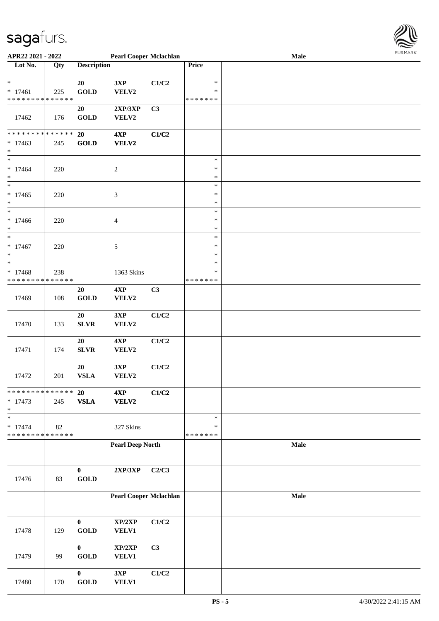

| APR22 2021 - 2022                          |     |                    | <b>Pearl Cooper Mclachlan</b> |       |               | Male |  |
|--------------------------------------------|-----|--------------------|-------------------------------|-------|---------------|------|--|
| Lot No.                                    | Qty | <b>Description</b> |                               |       | Price         |      |  |
|                                            |     |                    |                               |       |               |      |  |
| $\ast$                                     |     | 20                 | 3XP                           | C1/C2 | $\ast$        |      |  |
| $* 17461$                                  | 225 | <b>GOLD</b>        | VELV2                         |       | $\ast$        |      |  |
| * * * * * * * * <mark>* * * * * * *</mark> |     |                    |                               |       | * * * * * * * |      |  |
|                                            |     | 20                 |                               | C3    |               |      |  |
|                                            |     |                    | 2XP/3XP                       |       |               |      |  |
| 17462                                      | 176 | <b>GOLD</b>        | VELV2                         |       |               |      |  |
|                                            |     |                    |                               |       |               |      |  |
| * * * * * * * * <mark>* * * * * * *</mark> |     | 20                 | 4XP                           | C1/C2 |               |      |  |
| $* 17463$                                  | 245 | <b>GOLD</b>        | VELV2                         |       |               |      |  |
| $\ast$                                     |     |                    |                               |       |               |      |  |
| $\ddot{x}$                                 |     |                    |                               |       | $\ast$        |      |  |
| $* 17464$                                  | 220 |                    | $\boldsymbol{2}$              |       | $\ast$        |      |  |
| $\ast$                                     |     |                    |                               |       | $\ast$        |      |  |
| $\ast$                                     |     |                    |                               |       | $\ast$        |      |  |
| $* 17465$                                  | 220 |                    | 3                             |       | $\ast$        |      |  |
| $\ast$                                     |     |                    |                               |       | $\ast$        |      |  |
| $\ast$                                     |     |                    |                               |       | $\ast$        |      |  |
|                                            |     |                    |                               |       |               |      |  |
| $*17466$                                   | 220 |                    | 4                             |       | $\ast$        |      |  |
| $\ast$                                     |     |                    |                               |       | $\ast$        |      |  |
| $*$                                        |     |                    |                               |       | $\ast$        |      |  |
| $* 17467$                                  | 220 |                    | 5                             |       | $\ast$        |      |  |
| $\ast$                                     |     |                    |                               |       | $\ast$        |      |  |
| $\ast$                                     |     |                    |                               |       | $\ast$        |      |  |
| $* 17468$                                  | 238 |                    | 1363 Skins                    |       | $\ast$        |      |  |
| * * * * * * * * <mark>* * * * * * *</mark> |     |                    |                               |       | * * * * * * * |      |  |
|                                            |     | 20                 | 4XP                           | C3    |               |      |  |
|                                            |     |                    |                               |       |               |      |  |
| 17469                                      | 108 | GOLD               | VELV2                         |       |               |      |  |
|                                            |     |                    |                               |       |               |      |  |
|                                            |     | 20                 | 3XP                           | C1/C2 |               |      |  |
| 17470                                      | 133 | SLVR               | VELV2                         |       |               |      |  |
|                                            |     |                    |                               |       |               |      |  |
|                                            |     | 20                 | 4XP                           | C1/C2 |               |      |  |
| 17471                                      | 174 | <b>SLVR</b>        | VELV2                         |       |               |      |  |
|                                            |     |                    |                               |       |               |      |  |
|                                            |     | 20                 | 3XP                           | C1/C2 |               |      |  |
| 17472                                      | 201 | <b>VSLA</b>        | VELV2                         |       |               |      |  |
|                                            |     |                    |                               |       |               |      |  |
| * * * * * * * * <mark>* * * * * *</mark> * |     | 20                 | 4XP                           | C1/C2 |               |      |  |
|                                            |     |                    |                               |       |               |      |  |
| $* 17473$                                  | 245 | ${\bf VSLA}$       | VELV2                         |       |               |      |  |
| $\ast$                                     |     |                    |                               |       |               |      |  |
| $_{*}$                                     |     |                    |                               |       | $\ast$        |      |  |
| $* 17474$                                  | 82  |                    | 327 Skins                     |       | $\ast$        |      |  |
| * * * * * * * * <mark>* * * * * * *</mark> |     |                    |                               |       | * * * * * * * |      |  |
|                                            |     |                    | <b>Pearl Deep North</b>       |       |               | Male |  |
|                                            |     |                    |                               |       |               |      |  |
|                                            |     |                    |                               |       |               |      |  |
|                                            |     | $\bf{0}$           | $2{\bf XP}/3{\bf XP}$         | C2/C3 |               |      |  |
| 17476                                      | 83  | <b>GOLD</b>        |                               |       |               |      |  |
|                                            |     |                    |                               |       |               |      |  |
|                                            |     |                    |                               |       |               |      |  |
|                                            |     |                    | <b>Pearl Cooper Mclachlan</b> |       |               | Male |  |
|                                            |     |                    |                               |       |               |      |  |
|                                            |     |                    |                               |       |               |      |  |
|                                            |     | $\bf{0}$           | XP/2XP                        | C1/C2 |               |      |  |
| 17478                                      | 129 | <b>GOLD</b>        | VELV1                         |       |               |      |  |
|                                            |     |                    |                               |       |               |      |  |
|                                            |     | $\mathbf{0}$       | XP/2XP                        | C3    |               |      |  |
| 17479                                      | 99  | <b>GOLD</b>        | VELV1                         |       |               |      |  |
|                                            |     |                    |                               |       |               |      |  |
|                                            |     |                    |                               |       |               |      |  |
|                                            |     | $\bf{0}$           | 3XP                           | C1/C2 |               |      |  |
| 17480                                      | 170 | <b>GOLD</b>        | VELV1                         |       |               |      |  |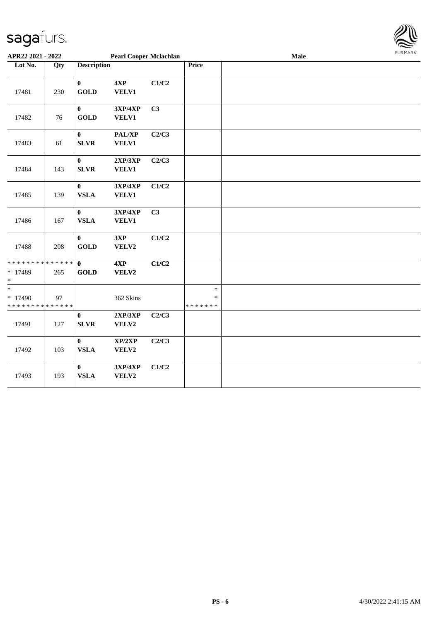

| APR22 2021 - 2022                                |     |                                 | <b>Pearl Cooper Mclachlan</b> |       |                                   | Male | <b>FURMARK</b> |
|--------------------------------------------------|-----|---------------------------------|-------------------------------|-------|-----------------------------------|------|----------------|
| Lot No.                                          | Qty | <b>Description</b>              |                               |       | Price                             |      |                |
| 17481                                            | 230 | $\bf{0}$<br><b>GOLD</b>         | 4XP<br>VELV1                  | C1/C2 |                                   |      |                |
| 17482                                            | 76  | $\bf{0}$<br><b>GOLD</b>         | 3XP/4XP<br><b>VELV1</b>       | C3    |                                   |      |                |
| 17483                                            | 61  | $\bf{0}$<br><b>SLVR</b>         | PAL/XP<br>VELV1               | C2/C3 |                                   |      |                |
| 17484                                            | 143 | $\boldsymbol{0}$<br><b>SLVR</b> | 2XP/3XP<br><b>VELV1</b>       | C2/C3 |                                   |      |                |
| 17485                                            | 139 | $\boldsymbol{0}$<br><b>VSLA</b> | 3XP/4XP<br><b>VELV1</b>       | C1/C2 |                                   |      |                |
| 17486                                            | 167 | $\bf{0}$<br><b>VSLA</b>         | 3XP/4XP<br>VELV1              | C3    |                                   |      |                |
| 17488                                            | 208 | $\mathbf{0}$<br><b>GOLD</b>     | 3XP<br>VELV2                  | C1/C2 |                                   |      |                |
| * * * * * * * * * * * * * *<br>* 17489<br>$\ast$ | 265 | $\mathbf{0}$<br><b>GOLD</b>     | 4XP<br>VELV2                  | C1/C2 |                                   |      |                |
| $*$<br>* 17490<br>* * * * * * * * * * * * * *    | 97  |                                 | 362 Skins                     |       | $\ast$<br>$\ast$<br>* * * * * * * |      |                |
| 17491                                            | 127 | $\bf{0}$<br><b>SLVR</b>         | 2XP/3XP<br>VELV2              | C2/C3 |                                   |      |                |
| 17492                                            | 103 | $\bf{0}$<br><b>VSLA</b>         | XP/2XP<br>VELV2               | C2/C3 |                                   |      |                |
| 17493                                            | 193 | $\bf{0}$<br><b>VSLA</b>         | 3XP/4XP<br>VELV2              | C1/C2 |                                   |      |                |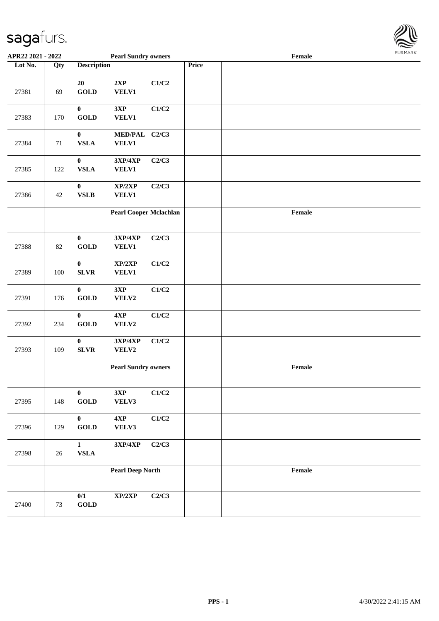

| APR22 2021 - 2022 |     |                                       | <b>Pearl Sundry owners</b>        |       |       | Female |  |
|-------------------|-----|---------------------------------------|-----------------------------------|-------|-------|--------|--|
| Lot No.           | Qty | <b>Description</b>                    |                                   |       | Price |        |  |
| 27381             | 69  | 20<br><b>GOLD</b>                     | 2XP<br>VELV1                      | C1/C2 |       |        |  |
| 27383             | 170 | $\bf{0}$<br><b>GOLD</b>               | 3XP<br><b>VELV1</b>               | C1/C2 |       |        |  |
| 27384             | 71  | $\bf{0}$<br><b>VSLA</b>               | MED/PAL C2/C3<br>VELV1            |       |       |        |  |
| 27385             | 122 | $\pmb{0}$<br><b>VSLA</b>              | 3XP/4XP<br><b>VELV1</b>           | C2/C3 |       |        |  |
| 27386             | 42  | $\pmb{0}$<br>${\bf VSLB}$             | XP/2XP<br><b>VELV1</b>            | C2/C3 |       |        |  |
|                   |     |                                       | <b>Pearl Cooper Mclachlan</b>     |       |       | Female |  |
| 27388             | 82  | $\bf{0}$<br><b>GOLD</b>               | 3XP/4XP<br><b>VELV1</b>           | C2/C3 |       |        |  |
| 27389             | 100 | $\bf{0}$<br><b>SLVR</b>               | XP/2XP<br><b>VELV1</b>            | C1/C2 |       |        |  |
| 27391             | 176 | $\pmb{0}$<br>$\operatorname{GOLD}$    | 3XP<br>VELV2                      | C1/C2 |       |        |  |
| 27392             | 234 | $\mathbf{0}$<br>$\operatorname{GOLD}$ | 4XP<br>VELV2                      | C1/C2 |       |        |  |
| 27393             | 109 | $\boldsymbol{0}$<br>${\bf SLVR}$      | $3XP/4XP$<br>VELV2                | C1/C2 |       |        |  |
|                   |     |                                       | <b>Pearl Sundry owners</b>        |       |       | Female |  |
| 27395             | 148 | $\bf{0}$<br>$\operatorname{GOLD}$     | 3XP<br>VELV3                      | C1/C2 |       |        |  |
| 27396             | 129 | $\bf{0}$<br>$\operatorname{GOLD}$     | 4XP<br>VELV3                      | C1/C2 |       |        |  |
| 27398             | 26  | $\mathbf{1}$<br>${\bf VSLA}$          | $3{\bf X}{\bf P}/4{\bf X}{\bf P}$ | C2/C3 |       |        |  |
|                   |     |                                       | <b>Pearl Deep North</b>           |       |       | Female |  |
| 27400             | 73  | 0/1<br>$\operatorname{GOLD}$          | XP/2XP                            | C2/C3 |       |        |  |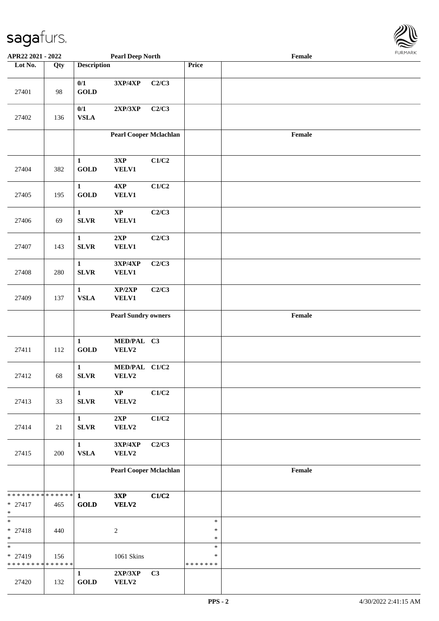| APR22 2021 - 2022                                    |     |                                       | <b>Pearl Deep North</b>                |                |                              | Female                                      |  |
|------------------------------------------------------|-----|---------------------------------------|----------------------------------------|----------------|------------------------------|---------------------------------------------|--|
| Lot No.                                              | Qty | <b>Description</b>                    |                                        |                | Price                        |                                             |  |
| 27401                                                | 98  | $0/1$<br>GOLD                         | 3XP/4XP                                | C2/C3          |                              |                                             |  |
| 27402                                                | 136 | 0/1<br><b>VSLA</b>                    | 2XP/3XP                                | C2/C3          |                              |                                             |  |
|                                                      |     |                                       | <b>Pearl Cooper Mclachlan</b>          |                |                              | $\ensuremath{\textnormal{\textbf{Female}}}$ |  |
| 27404                                                | 382 | $\mathbf{1}$<br>$\operatorname{GOLD}$ | 3XP<br><b>VELV1</b>                    | C1/C2          |                              |                                             |  |
| 27405                                                | 195 | $\mathbf{1}$<br>GOLD                  | 4XP<br><b>VELV1</b>                    | C1/C2          |                              |                                             |  |
| 27406                                                | 69  | $\mathbf{1}$<br><b>SLVR</b>           | $\mathbf{X}\mathbf{P}$<br><b>VELV1</b> | C2/C3          |                              |                                             |  |
| 27407                                                | 143 | $\mathbf{1}$<br>${\bf SLVR}$          | 2XP<br><b>VELV1</b>                    | C2/C3          |                              |                                             |  |
| 27408                                                | 280 | $\mathbf{1}$<br><b>SLVR</b>           | 3XP/4XP<br><b>VELV1</b>                | C2/C3          |                              |                                             |  |
| 27409                                                | 137 | $\mathbf{1}$<br><b>VSLA</b>           | XP/2XP<br><b>VELV1</b>                 | C2/C3          |                              |                                             |  |
|                                                      |     |                                       | <b>Pearl Sundry owners</b>             |                |                              | Female                                      |  |
| 27411                                                | 112 | $\mathbf{1}$<br>$\operatorname{GOLD}$ | MED/PAL C3<br>VELV2                    |                |                              |                                             |  |
| 27412                                                | 68  | $\mathbf{1}$<br><b>SLVR</b>           | MED/PAL C1/C2<br>VELV2                 |                |                              |                                             |  |
| 27413                                                | 33  | $\mathbf{1}$<br>SLVR                  | $\bold{XP}$<br>VELV2                   | C1/C2          |                              |                                             |  |
| 27414                                                | 21  | $\mathbf{1}$<br><b>SLVR</b>           | 2XP<br>VELV2                           | C1/C2          |                              |                                             |  |
| 27415                                                | 200 | $\mathbf{1}$<br><b>VSLA</b>           | 3XP/4XP<br>VELV2                       | C2/C3          |                              |                                             |  |
|                                                      |     |                                       | <b>Pearl Cooper Mclachlan</b>          |                |                              | $\ensuremath{\textnormal{\textbf{Female}}}$ |  |
| * * * * * * * * * * * * * * *<br>$* 27417$<br>$\ast$ | 465 | $\mathbf{1}$<br>GOLD                  | 3XP<br>VELV2                           | C1/C2          |                              |                                             |  |
| $\ast$<br>$* 27418$<br>$\ast$                        | 440 |                                       | $\sqrt{2}$                             |                | $\ast$<br>$\ast$<br>$\ast$   |                                             |  |
| $\ast$<br>* 27419<br>* * * * * * * * * * * * * *     | 156 |                                       | 1061 Skins                             |                | $\ast$<br>∗<br>* * * * * * * |                                             |  |
| 27420                                                | 132 | $\mathbf{1}$<br>$\operatorname{GOLD}$ | 2XP/3XP<br>VELV2                       | C <sub>3</sub> |                              |                                             |  |

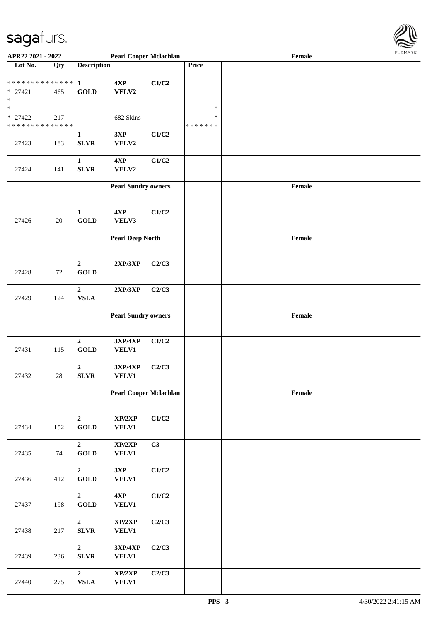

| APR22 2021 - 2022                          |        |                    | <b>Pearl Cooper Mclachlan</b>     |       |         | Female |  |
|--------------------------------------------|--------|--------------------|-----------------------------------|-------|---------|--------|--|
| Lot No.                                    | Qty    | <b>Description</b> |                                   |       | Price   |        |  |
|                                            |        |                    |                                   |       |         |        |  |
|                                            |        |                    | 4XP                               | C1/C2 |         |        |  |
| $* 27421$                                  | 465    | <b>GOLD</b>        | <b>VELV2</b>                      |       |         |        |  |
| *                                          |        |                    |                                   |       |         |        |  |
| $\ast$                                     |        |                    |                                   |       | $\ast$  |        |  |
|                                            |        |                    |                                   |       |         |        |  |
| $* 27422$                                  | 217    |                    | 682 Skins                         |       | $\ast$  |        |  |
| * * * * * * * * <mark>* * * * * * *</mark> |        |                    |                                   |       | ******* |        |  |
|                                            |        | $\mathbf{1}$       | 3XP                               | C1/C2 |         |        |  |
| 27423                                      | 183    | <b>SLVR</b>        | VELV2                             |       |         |        |  |
|                                            |        |                    |                                   |       |         |        |  |
|                                            |        | $\mathbf{1}$       | 4XP                               | C1/C2 |         |        |  |
| 27424                                      | 141    | SLVR               | VELV2                             |       |         |        |  |
|                                            |        |                    |                                   |       |         |        |  |
|                                            |        |                    | <b>Pearl Sundry owners</b>        |       |         | Female |  |
|                                            |        |                    |                                   |       |         |        |  |
|                                            |        |                    |                                   |       |         |        |  |
|                                            |        |                    |                                   |       |         |        |  |
|                                            |        | $\mathbf{1}$       | 4XP                               | C1/C2 |         |        |  |
| 27426                                      | $20\,$ | <b>GOLD</b>        | VELV3                             |       |         |        |  |
|                                            |        |                    |                                   |       |         |        |  |
|                                            |        |                    | <b>Pearl Deep North</b>           |       |         | Female |  |
|                                            |        |                    |                                   |       |         |        |  |
|                                            |        |                    |                                   |       |         |        |  |
|                                            |        | $\boldsymbol{2}$   | 2XP/3XP                           | C2/C3 |         |        |  |
| 27428                                      | 72     | <b>GOLD</b>        |                                   |       |         |        |  |
|                                            |        |                    |                                   |       |         |        |  |
|                                            |        | $\boldsymbol{2}$   | 2XP/3XP                           | C2/C3 |         |        |  |
| 27429                                      | 124    | <b>VSLA</b>        |                                   |       |         |        |  |
|                                            |        |                    |                                   |       |         |        |  |
|                                            |        |                    |                                   |       |         |        |  |
|                                            |        |                    | <b>Pearl Sundry owners</b>        |       |         | Female |  |
|                                            |        |                    |                                   |       |         |        |  |
|                                            |        |                    |                                   |       |         |        |  |
|                                            |        | $\overline{2}$     | 3XP/4XP                           | C1/C2 |         |        |  |
| 27431                                      | 115    | <b>GOLD</b>        | VELV1                             |       |         |        |  |
|                                            |        |                    |                                   |       |         |        |  |
|                                            |        | $\mathbf{2}$       | 3XP/4XP                           | C2/C3 |         |        |  |
| 27432                                      | $28\,$ | ${\bf SLVR}$       | VELV1                             |       |         |        |  |
|                                            |        |                    |                                   |       |         |        |  |
|                                            |        |                    | <b>Pearl Cooper Mclachlan</b>     |       |         | Female |  |
|                                            |        |                    |                                   |       |         |        |  |
|                                            |        |                    |                                   |       |         |        |  |
|                                            |        |                    |                                   |       |         |        |  |
|                                            |        | $\overline{2}$     | XP/2XP                            | C1/C2 |         |        |  |
| 27434                                      | 152    | <b>GOLD</b>        | <b>VELV1</b>                      |       |         |        |  |
|                                            |        |                    |                                   |       |         |        |  |
|                                            |        | $\mathbf{2}$       | XP/2XP                            | C3    |         |        |  |
| 27435                                      | 74     | <b>GOLD</b>        | VELV1                             |       |         |        |  |
|                                            |        |                    |                                   |       |         |        |  |
|                                            |        | $\overline{2}$     | 3XP                               | C1/C2 |         |        |  |
| 27436                                      | 412    | <b>GOLD</b>        | VELV1                             |       |         |        |  |
|                                            |        |                    |                                   |       |         |        |  |
|                                            |        | $\overline{2}$     | $4{\bf XP}$                       | C1/C2 |         |        |  |
|                                            |        | <b>GOLD</b>        |                                   |       |         |        |  |
| 27437                                      | 198    |                    | <b>VELV1</b>                      |       |         |        |  |
|                                            |        |                    |                                   |       |         |        |  |
|                                            |        | 2 <sup>1</sup>     | $\mathbf{XP}/2\mathbf{XP}$        | C2/C3 |         |        |  |
| 27438                                      | 217    | ${\bf SLVR}$       | <b>VELV1</b>                      |       |         |        |  |
|                                            |        |                    |                                   |       |         |        |  |
|                                            |        | 2 <sup>1</sup>     | $3{\bf X}{\bf P}/4{\bf X}{\bf P}$ | C2/C3 |         |        |  |
| 27439                                      | 236    | ${\bf SLVR}$       | <b>VELV1</b>                      |       |         |        |  |
|                                            |        |                    |                                   |       |         |        |  |
|                                            |        | $\overline{2}$     | XP/2XP                            | C2/C3 |         |        |  |
| 27440                                      | 275    | ${\bf VSLA}$       | <b>VELV1</b>                      |       |         |        |  |
|                                            |        |                    |                                   |       |         |        |  |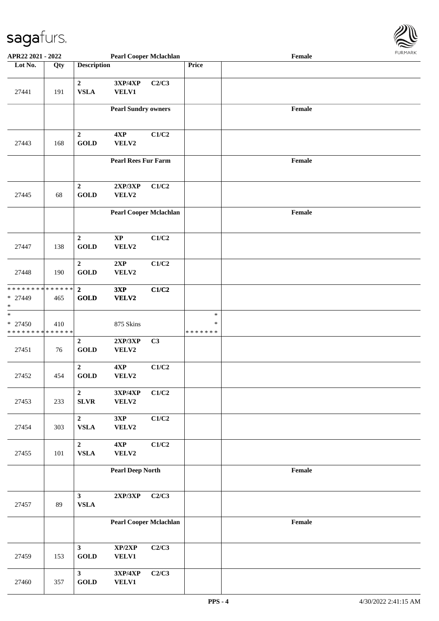

| APR22 2021 - 2022                                                 |     |                                       | <b>Pearl Cooper Mclachlan</b> |       |                              | Female |  |
|-------------------------------------------------------------------|-----|---------------------------------------|-------------------------------|-------|------------------------------|--------|--|
| Lot No.                                                           | Qty | <b>Description</b>                    |                               |       | Price                        |        |  |
| 27441                                                             | 191 | $\mathbf{2}$<br><b>VSLA</b>           | 3XP/4XP<br><b>VELV1</b>       | C2/C3 |                              |        |  |
|                                                                   |     |                                       | <b>Pearl Sundry owners</b>    |       |                              | Female |  |
| 27443                                                             | 168 | $\boldsymbol{2}$<br><b>GOLD</b>       | 4XP<br>VELV2                  | C1/C2 |                              |        |  |
|                                                                   |     |                                       | <b>Pearl Rees Fur Farm</b>    |       |                              | Female |  |
| 27445                                                             | 68  | $\mathbf 2$<br><b>GOLD</b>            | 2XP/3XP<br>VELV2              | C1/C2 |                              |        |  |
|                                                                   |     |                                       | <b>Pearl Cooper Mclachlan</b> |       |                              | Female |  |
| 27447                                                             | 138 | $\overline{2}$<br><b>GOLD</b>         | $\bold{XP}$<br>VELV2          | C1/C2 |                              |        |  |
| 27448                                                             | 190 | $\mathbf 2$<br><b>GOLD</b>            | 2XP<br>VELV2                  | C1/C2 |                              |        |  |
| * * * * * * * * <mark>* * * * * *</mark><br>* 27449<br>$\ast$     | 465 | $\mathbf{2}$<br><b>GOLD</b>           | 3XP<br>VELV2                  | C1/C2 |                              |        |  |
| $\ast$<br>$* 27450$<br>* * * * * * * * <mark>* * * * * * *</mark> | 410 |                                       | 875 Skins                     |       | $\ast$<br>∗<br>* * * * * * * |        |  |
| 27451                                                             | 76  | $\overline{2}$<br><b>GOLD</b>         | 2XP/3XP<br>VELV2              | C3    |                              |        |  |
| 27452                                                             | 454 | $\overline{2}$<br><b>GOLD</b>         | 4XP<br>VELV2                  | C1/C2 |                              |        |  |
| 27453                                                             | 233 | $\overline{2}$<br><b>SLVR</b>         | 3XP/4XP<br>VELV2              | C1/C2 |                              |        |  |
| 27454                                                             | 303 | $\overline{2}$<br>${\bf VSLA}$        | 3XP<br>VELV2                  | C1/C2 |                              |        |  |
| 27455                                                             | 101 | $\mathbf 2$<br>${\bf VSLA}$           | 4XP<br>VELV2                  | C1/C2 |                              |        |  |
|                                                                   |     |                                       | <b>Pearl Deep North</b>       |       |                              | Female |  |
| 27457                                                             | 89  | $\mathbf{3}$<br>${\bf VSLA}$          | $2{\bf XP}/3{\bf XP}$         | C2/C3 |                              |        |  |
|                                                                   |     |                                       | <b>Pearl Cooper Mclachlan</b> |       |                              | Female |  |
| 27459                                                             | 153 | $\mathbf{3}$<br><b>GOLD</b>           | XP/2XP<br><b>VELV1</b>        | C2/C3 |                              |        |  |
| 27460                                                             | 357 | $\mathbf{3}$<br>$\operatorname{GOLD}$ | 3XP/4XP<br><b>VELV1</b>       | C2/C3 |                              |        |  |